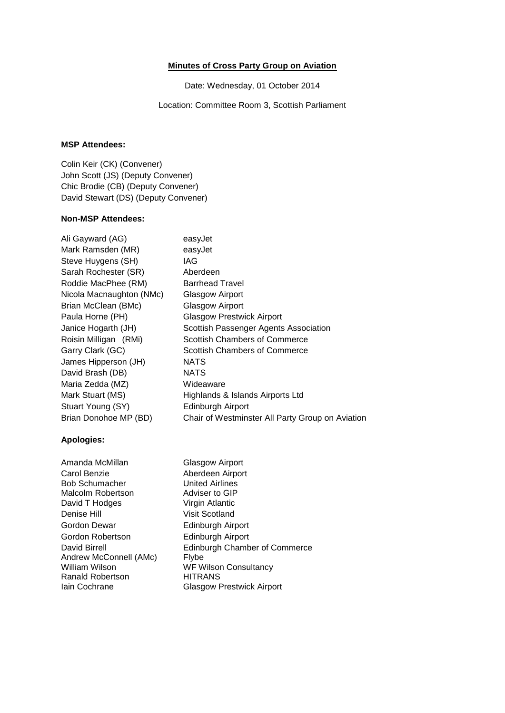## **Minutes of Cross Party Group on Aviation**

Date: Wednesday, 01 October 2014

Location: Committee Room 3, Scottish Parliament

## **MSP Attendees:**

Colin Keir (CK) (Convener) John Scott (JS) (Deputy Convener) Chic Brodie (CB) (Deputy Convener) David Stewart (DS) (Deputy Convener)

## **Non-MSP Attendees:**

| easyJet                                          |
|--------------------------------------------------|
| easyJet                                          |
| IAG                                              |
| Aberdeen                                         |
| <b>Barrhead Travel</b>                           |
| Glasgow Airport                                  |
| Glasgow Airport                                  |
| <b>Glasgow Prestwick Airport</b>                 |
| Scottish Passenger Agents Association            |
| Scottish Chambers of Commerce                    |
| Scottish Chambers of Commerce                    |
| NATS                                             |
| <b>NATS</b>                                      |
| Wideaware                                        |
| Highlands & Islands Airports Ltd                 |
| Edinburgh Airport                                |
| Chair of Westminster All Party Group on Aviation |
|                                                  |

## **Apologies:**

| Amanda McMillan        | Glasgow Airport                      |
|------------------------|--------------------------------------|
| Carol Benzie           | Aberdeen Airport                     |
| <b>Bob Schumacher</b>  | <b>United Airlines</b>               |
| Malcolm Robertson      | Adviser to GIP                       |
| David T Hodges         | Virgin Atlantic                      |
| Denise Hill            | Visit Scotland                       |
| Gordon Dewar           | Edinburgh Airport                    |
| Gordon Robertson       | Edinburgh Airport                    |
| David Birrell          | <b>Edinburgh Chamber of Commerce</b> |
| Andrew McConnell (AMc) | Flybe                                |
| William Wilson         | <b>WF Wilson Consultancy</b>         |
| Ranald Robertson       | <b>HITRANS</b>                       |
| Iain Cochrane          | <b>Glasgow Prestwick Airport</b>     |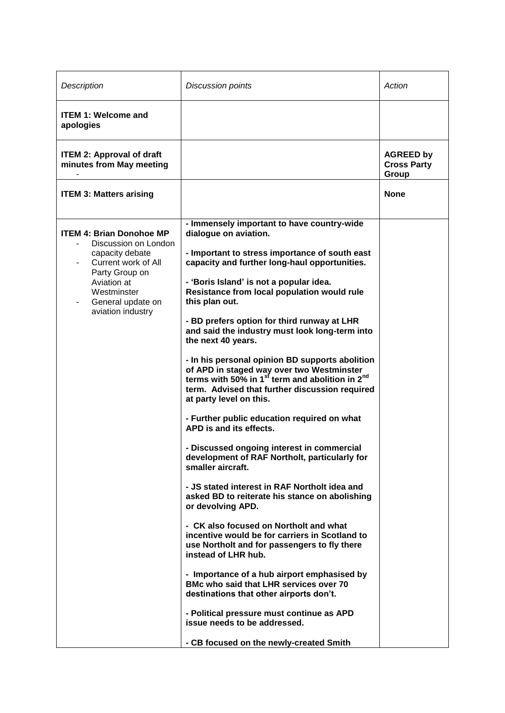| Description                                                                                                                                                                                 | <b>Discussion points</b>                                                                                                                                                                                                                                                                                                                                                                                                                                                                                                                                                                                                                                                                                                                                                                                                                                                                                                                                                                                                                                                                                                                                                                                                                                                                                                                                                                                             | Action                                          |
|---------------------------------------------------------------------------------------------------------------------------------------------------------------------------------------------|----------------------------------------------------------------------------------------------------------------------------------------------------------------------------------------------------------------------------------------------------------------------------------------------------------------------------------------------------------------------------------------------------------------------------------------------------------------------------------------------------------------------------------------------------------------------------------------------------------------------------------------------------------------------------------------------------------------------------------------------------------------------------------------------------------------------------------------------------------------------------------------------------------------------------------------------------------------------------------------------------------------------------------------------------------------------------------------------------------------------------------------------------------------------------------------------------------------------------------------------------------------------------------------------------------------------------------------------------------------------------------------------------------------------|-------------------------------------------------|
| <b>ITEM 1: Welcome and</b><br>apologies                                                                                                                                                     |                                                                                                                                                                                                                                                                                                                                                                                                                                                                                                                                                                                                                                                                                                                                                                                                                                                                                                                                                                                                                                                                                                                                                                                                                                                                                                                                                                                                                      |                                                 |
| <b>ITEM 2: Approval of draft</b><br>minutes from May meeting                                                                                                                                |                                                                                                                                                                                                                                                                                                                                                                                                                                                                                                                                                                                                                                                                                                                                                                                                                                                                                                                                                                                                                                                                                                                                                                                                                                                                                                                                                                                                                      | <b>AGREED by</b><br><b>Cross Party</b><br>Group |
| <b>ITEM 3: Matters arising</b>                                                                                                                                                              |                                                                                                                                                                                                                                                                                                                                                                                                                                                                                                                                                                                                                                                                                                                                                                                                                                                                                                                                                                                                                                                                                                                                                                                                                                                                                                                                                                                                                      | <b>None</b>                                     |
| <b>ITEM 4: Brian Donohoe MP</b><br>Discussion on London<br>capacity debate<br>Current work of All<br>Party Group on<br>Aviation at<br>Westminster<br>General update on<br>aviation industry | - Immensely important to have country-wide<br>dialogue on aviation.<br>- Important to stress importance of south east<br>capacity and further long-haul opportunities.<br>- 'Boris Island' is not a popular idea.<br>Resistance from local population would rule<br>this plan out.<br>- BD prefers option for third runway at LHR<br>and said the industry must look long-term into<br>the next 40 years.<br>- In his personal opinion BD supports abolition<br>of APD in staged way over two Westminster<br>terms with 50% in 1 $^{\rm st}$ term and abolition in 2 <sup>nd</sup><br>term. Advised that further discussion required<br>at party level on this.<br>- Further public education required on what<br>APD is and its effects.<br>- Discussed ongoing interest in commercial<br>development of RAF Northolt, particularly for<br>smaller aircraft.<br>- JS stated interest in RAF Northolt idea and<br>asked BD to reiterate his stance on abolishing<br>or devolving APD.<br>- CK also focused on Northolt and what<br>incentive would be for carriers in Scotland to<br>use Northolt and for passengers to fly there<br>instead of LHR hub.<br>- Importance of a hub airport emphasised by<br>BMc who said that LHR services over 70<br>destinations that other airports don't.<br>- Political pressure must continue as APD<br>issue needs to be addressed.<br>- CB focused on the newly-created Smith |                                                 |